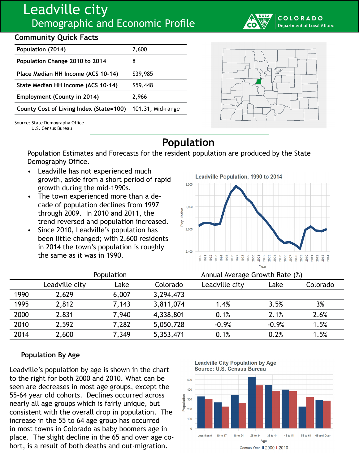# Leadville city Demographic and Economic Profile

## **Community Quick Facts**

| Population (2014)                       | 2,600             |  |
|-----------------------------------------|-------------------|--|
| Population Change 2010 to 2014          | 8                 |  |
| Place Median HH Income (ACS 10-14)      | \$39,985          |  |
| State Median HH Income (ACS 10-14)      | \$59,448          |  |
| Employment (County in 2014)             | 2,966             |  |
| County Cost of Living Index (State=100) | 101.31, Mid-range |  |





Source: State Demography Office U.S. Census Bureau

**Population**

Population Estimates and Forecasts for the resident population are produced by the State Demography Office.

- Leadville has not experienced much growth, aside from a short period of rapid growth during the mid-1990s.
- The town experienced more than a decade of population declines from 1997 through 2009. In 2010 and 2011, the trend reversed and population increased.
- Since 2010, Leadville's population has been little changed; with 2,600 residents in 2014 the town's population is roughly the same as it was in 1990.

Leadville Population, 1990 to 2014  $3.000$ 2,800 Population 2.600  $2.400$ 2000  $\begin{array}{l} 2005 \\ 2007 \\ 2008 \\ 2008 \\ 2009 \\ \end{array}$ 2010 1992 1993 1995 1996 1998 1999 2002 2003 2004  $\frac{2011}{2012}$ 1990  $1994$ 1997 2001  $\frac{20}{20}$  $\frac{5}{99}$ Yea

|      | Population     |       |           | Annual Average Growth Rate (%) |         |          |
|------|----------------|-------|-----------|--------------------------------|---------|----------|
|      | Leadville city | Lake  | Colorado  | Leadville city                 | Lake    | Colorado |
| 1990 | 2,629          | 6,007 | 3,294,473 |                                |         |          |
| 1995 | 2,812          | 7,143 | 3,811,074 | 1.4%                           | 3.5%    | 3%       |
| 2000 | 2,831          | 7,940 | 4,338,801 | 0.1%                           | 2.1%    | 2.6%     |
| 2010 | 2,592          | 7,282 | 5,050,728 | $-0.9%$                        | $-0.9%$ | 1.5%     |
| 2014 | 2,600          | 7,349 | 5,353,471 | 0.1%                           | 0.2%    | 1.5%     |

### **Population By Age**

Leadville's population by age is shown in the chart to the right for both 2000 and 2010. What can be seen are decreases in most age groups, except the 55-64 year old cohorts. Declines occurred across nearly all age groups which is fairly unique, but consistent with the overall drop in population. The increase in the 55 to 64 age group has occurred in most towns in Colorado as baby boomers age in place. The slight decline in the 65 and over age cohort, is a result of both deaths and out-migration.

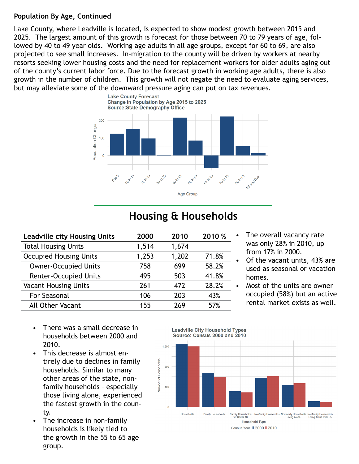#### **Population By Age, Continued**

Lake County, where Leadville is located, is expected to show modest growth between 2015 and 2025. The largest amount of this growth is forecast for those between 70 to 79 years of age, followed by 40 to 49 year olds. Working age adults in all age groups, except for 60 to 69, are also projected to see small increases. In-migration to the county will be driven by workers at nearby resorts seeking lower housing costs and the need for replacement workers for older adults aging out of the county's current labor force. Due to the forecast growth in working age adults, there is also growth in the number of children. This growth will not negate the need to evaluate aging services, but may alleviate some of the downward pressure aging can put on tax revenues.



# **Housing & Households**

| 2000  | 2010  | 2010 % |
|-------|-------|--------|
| 1,514 | 1,674 |        |
| 1,253 | 1,202 | 71.8%  |
| 758   | 699   | 58.2%  |
| 495   | 503   | 41.8%  |
| 261   | 472   | 28.2%  |
| 106   | 203   | 43%    |
| 155   | 269   | 57%    |
|       |       |        |

- The overall vacancy rate was only 28% in 2010, up from 17% in 2000.
- Of the vacant units, 43% are used as seasonal or vacation homes.
- Most of the units are owner occupied (58%) but an active rental market exists as well.

- There was a small decrease in households between 2000 and 2010.
- This decrease is almost entirely due to declines in family households. Similar to many other areas of the state, nonfamily households – especially those living alone, experienced the fastest growth in the county.
- The increase in non-family households is likely tied to the growth in the 55 to 65 age group.

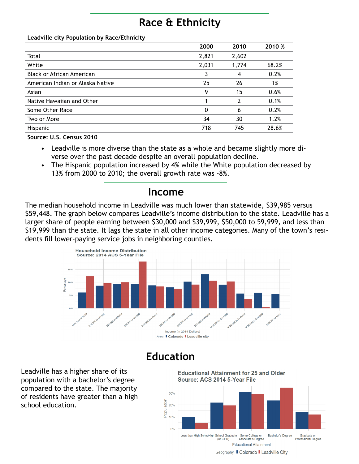# **Race & Ethnicity**

#### **Leadville city Population by Race/Ethnicity**

|                                  | 2000  | 2010  | 2010 % |
|----------------------------------|-------|-------|--------|
| Total                            | 2,821 | 2,602 |        |
| White                            | 2,031 | 1,774 | 68.2%  |
| <b>Black or African American</b> | 3     | 4     | 0.2%   |
| American Indian or Alaska Native | 25    | 26    | 1%     |
| Asian                            | 9     | 15    | 0.6%   |
| Native Hawaiian and Other        |       | 2     | 0.1%   |
| Some Other Race                  | 0     | 6     | 0.2%   |
| Two or More                      | 34    | 30    | 1.2%   |
| Hispanic                         | 718   | 745   | 28.6%  |

**Source: U.S. Census 2010**

- Leadville is more diverse than the state as a whole and became slightly more diverse over the past decade despite an overall population decline.
- The Hispanic population increased by 4% while the White population decreased by 13% from 2000 to 2010; the overall growth rate was -8%.

## **Income**

The median household income in Leadville was much lower than statewide, \$39,985 versus \$59,448. The graph below compares Leadville's income distribution to the state. Leadville has a larger share of people earning between \$30,000 and \$39,999, \$50,000 to 59,999, and less than \$19,999 than the state. It lags the state in all other income categories. Many of the town's residents fill lower-paying service jobs in neighboring counties.



## **Education**

Leadville has a higher share of its population with a bachelor's degree compared to the state. The majority of residents have greater than a high school education.



Geography Colorado Leadville City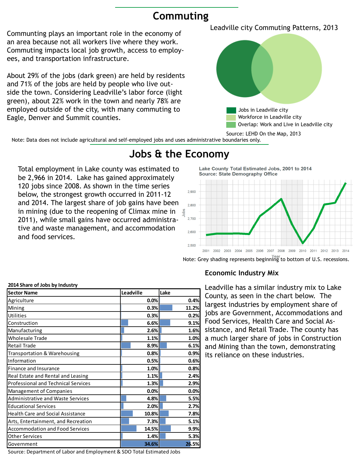## **Commuting**

Communting plays an important role in the economy of an area because not all workers live where they work. Commuting impacts local job growth, access to employees, and transportation infrastructure.

About 29% of the jobs (dark green) are held by residents and 71% of the jobs are held by people who live outside the town. Considering Leadville's labor force (light green), about 22% work in the town and nearly 78% are employed outside of the city, with many commuting to Eagle, Denver and Summit counties.

Leadville city Commuting Patterns, 2013



Note: Data does not include agricultural and self-employed jobs and uses administrative boundaries only.

## **Jobs & the Economy**

Total employment in Lake county was estimated to be 2,966 in 2014. Lake has gained approximately 120 jobs since 2008. As shown in the time series below, the strongest growth occurred in 2011-12 and 2014. The largest share of job gains have been in mining (due to the reopening of Climax mine in 2011), while small gains have occurred administrative and waste management, and accommodation and food services.

Lake County Total Estimated Jobs, 2001 to 2014 **Source: State Demography Office** 2,900 2.800  $2,700$ 2.600 2.500 2002 2003 2004 2005 2006 2007 2008 2009 2010 2011 2012 2013 2014

Note: Grey shading represents beginning to bottom of U.S. recessions.

| Agriculture                                | 0.0%  |       |
|--------------------------------------------|-------|-------|
|                                            |       | 0.4%  |
| Mining                                     | 0.3%  | 11.2% |
| <b>Utilities</b>                           | 0.3%  | 0.2%  |
| Construction                               | 6.6%  | 9.1%  |
| Manufacturing                              | 2.6%  | 1.6%  |
| <b>Wholesale Trade</b>                     | 1.1%  | 1.0%  |
| <b>Retail Trade</b>                        | 8.9%  | 6.1%  |
| Transportation & Warehousing               | 0.8%  | 0.9%  |
| Information                                | 0.5%  | 0.6%  |
| Finance and Insurance                      | 1.0%  | 0.8%  |
| Real Estate and Rental and Leasing         | 1.1%  | 2.4%  |
| <b>Professional and Technical Services</b> | 1.3%  | 2.9%  |
| <b>Management of Companies</b>             | 0.0%  | 0.0%  |
| <b>Administrative and Waste Services</b>   | 4.8%  | 5.5%  |
| <b>Educational Services</b>                | 2.0%  | 2.7%  |
| <b>Health Care and Social Assistance</b>   | 10.8% | 7.8%  |
| Arts, Entertainment, and Recreation        | 7.3%  | 5.1%  |
| <b>Accommodation and Food Services</b>     | 14.5% | 9.9%  |
| <b>Other Services</b>                      | 1.4%  | 5.3%  |
| Government                                 | 34.6% | 26.5% |

#### **2014 Share of Jobs by Industry**

Leadville has a similar industry mix to Lake County, as seen in the chart below. The largest industries by employment share of jobs are Government, Accommodations and Food Services, Health Care and Social Assistance, and Retail Trade. The county has a much larger share of jobs in Construction and Mining than the town, demonstrating its reliance on these industries.

Source: Department of Labor and Employment & SDO Total Estimated Jobs

**Economic Industry Mix**